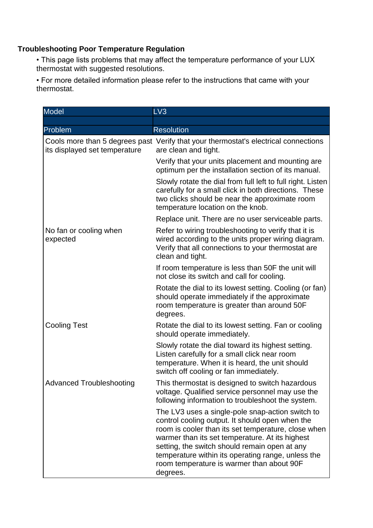## **Troubleshooting Poor Temperature Regulation**

• This page lists problems that may affect the temperature performance of your LUX thermostat with suggested resolutions.

• For more detailed information please refer to the instructions that came with your thermostat.

| <b>Model</b>                       | LV <sub>3</sub>                                                                                                                                                                                                                                                                                                                                                               |
|------------------------------------|-------------------------------------------------------------------------------------------------------------------------------------------------------------------------------------------------------------------------------------------------------------------------------------------------------------------------------------------------------------------------------|
|                                    |                                                                                                                                                                                                                                                                                                                                                                               |
| Problem                            | <b>Resolution</b>                                                                                                                                                                                                                                                                                                                                                             |
| its displayed set temperature      | Cools more than 5 degrees past Verify that your thermostat's electrical connections<br>are clean and tight.                                                                                                                                                                                                                                                                   |
|                                    | Verify that your units placement and mounting are<br>optimum per the installation section of its manual.                                                                                                                                                                                                                                                                      |
|                                    | Slowly rotate the dial from full left to full right. Listen<br>carefully for a small click in both directions. These<br>two clicks should be near the approximate room<br>temperature location on the knob.                                                                                                                                                                   |
|                                    | Replace unit. There are no user serviceable parts.                                                                                                                                                                                                                                                                                                                            |
| No fan or cooling when<br>expected | Refer to wiring troubleshooting to verify that it is<br>wired according to the units proper wiring diagram.<br>Verify that all connections to your thermostat are<br>clean and tight.                                                                                                                                                                                         |
|                                    | If room temperature is less than 50F the unit will<br>not close its switch and call for cooling.                                                                                                                                                                                                                                                                              |
|                                    | Rotate the dial to its lowest setting. Cooling (or fan)<br>should operate immediately if the approximate<br>room temperature is greater than around 50F<br>degrees.                                                                                                                                                                                                           |
| <b>Cooling Test</b>                | Rotate the dial to its lowest setting. Fan or cooling<br>should operate immediately.                                                                                                                                                                                                                                                                                          |
|                                    | Slowly rotate the dial toward its highest setting.<br>Listen carefully for a small click near room<br>temperature. When it is heard, the unit should<br>switch off cooling or fan immediately.                                                                                                                                                                                |
| <b>Advanced Troubleshooting</b>    | This thermostat is designed to switch hazardous<br>voltage. Qualified service personnel may use the<br>following information to troubleshoot the system.                                                                                                                                                                                                                      |
|                                    | The LV3 uses a single-pole snap-action switch to<br>control cooling output. It should open when the<br>room is cooler than its set temperature, close when<br>warmer than its set temperature. At its highest<br>setting, the switch should remain open at any<br>temperature within its operating range, unless the<br>room temperature is warmer than about 90F<br>degrees. |